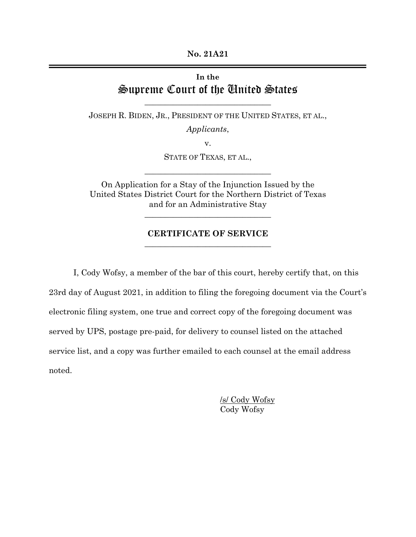**No. 21A21**

## **In the** Supreme Court of the United States

JOSEPH R. BIDEN, JR., PRESIDENT OF THE UNITED STATES, ET AL.,

**\_\_\_\_\_\_\_\_\_\_\_\_\_\_\_\_\_\_\_\_\_\_\_\_\_\_\_\_\_\_\_**

*Applicants*,

v.

STATE OF TEXAS, ET AL.,

**\_\_\_\_\_\_\_\_\_\_\_\_\_\_\_\_\_\_\_\_\_\_\_\_\_\_\_\_\_\_\_**

On Application for a Stay of the Injunction Issued by the United States District Court for the Northern District of Texas and for an Administrative Stay

**\_\_\_\_\_\_\_\_\_\_\_\_\_\_\_\_\_\_\_\_\_\_\_\_\_\_\_\_\_\_\_**

## **CERTIFICATE OF SERVICE \_\_\_\_\_\_\_\_\_\_\_\_\_\_\_\_\_\_\_\_\_\_\_\_\_\_\_\_\_\_\_**

I, Cody Wofsy, a member of the bar of this court, hereby certify that, on this 23rd day of August 2021, in addition to filing the foregoing document via the Court's electronic filing system, one true and correct copy of the foregoing document was served by UPS, postage pre-paid, for delivery to counsel listed on the attached service list, and a copy was further emailed to each counsel at the email address noted.

> /s/ Cody Wofsy Cody Wofsy